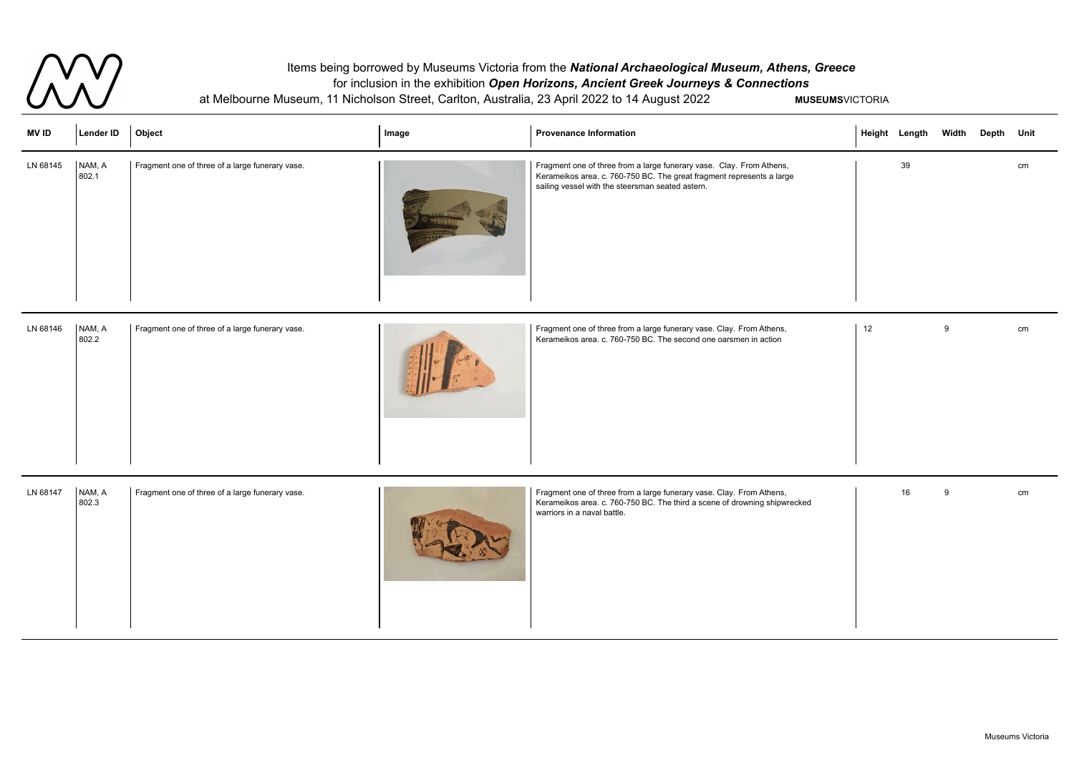

## Items being borrowed by Museums Victoria from the *National Archaeological Museum, Athens, Greece* for inclusion in the exhibition *Open Horizons, Ancient Greek Journeys & Connections* at Melbourne Museum, 11 Nicholson Street, Carlton, Australia, 23 April 2022 to 14 August 2022 **MUSEUMS**VICTORIA

| <b>MV ID</b> | Lender ID       | Object                                          | Image | <b>Provenance Information</b>                                                                                                                                                                     | <b>Height Length</b> |    | Width | Depth Unit |    |
|--------------|-----------------|-------------------------------------------------|-------|---------------------------------------------------------------------------------------------------------------------------------------------------------------------------------------------------|----------------------|----|-------|------------|----|
| LN 68145     | NAM, A<br>802.1 | Fragment one of three of a large funerary vase. |       | Fragment one of three from a large funerary vase. Clay. From Athens,<br>Kerameikos area. c. 760-750 BC. The great fragment represents a large<br>sailing vessel with the steersman seated astern. |                      | 39 |       |            | cm |

|    | Height Length Width Depth Unit |   |                                                                                      |
|----|--------------------------------|---|--------------------------------------------------------------------------------------|
|    | 39                             |   | cm                                                                                   |
|    |                                |   |                                                                                      |
|    |                                |   |                                                                                      |
|    |                                |   |                                                                                      |
|    |                                |   |                                                                                      |
| 12 |                                | 9 | $\mathsf{cm}% \left( \mathcal{M}\right) \equiv\mathsf{cm} \left( \mathcal{M}\right)$ |
|    |                                |   |                                                                                      |
|    |                                |   |                                                                                      |
|    |                                |   |                                                                                      |
|    |                                |   |                                                                                      |
|    | $16\,$                         | 9 | cm                                                                                   |
|    |                                |   |                                                                                      |
|    |                                |   |                                                                                      |
|    |                                |   |                                                                                      |
|    |                                |   |                                                                                      |

| NAM, A<br>Fragment one of three of a large funerary vase.<br>Fragment one of three from a large funerary vase. Clay. From Athens,<br>LN 68147<br>Kerameikos area. c. 760-750 BC. The third a scene of drowning shipwrecked<br>802.3<br>warriors in a naval battle. |  |
|--------------------------------------------------------------------------------------------------------------------------------------------------------------------------------------------------------------------------------------------------------------------|--|
|--------------------------------------------------------------------------------------------------------------------------------------------------------------------------------------------------------------------------------------------------------------------|--|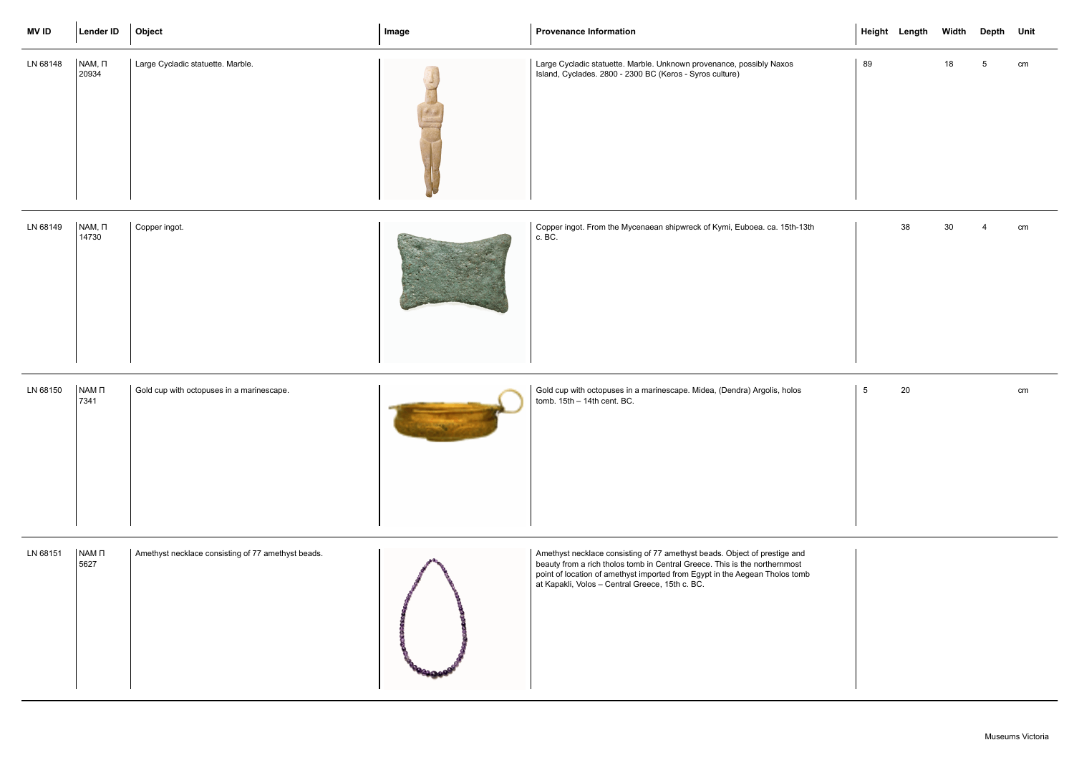| <b>MV ID</b> | <b>Lender ID</b>         | Object                                             | Image | <b>Provenance Information</b>                                                                                                                                                                                                                                                             |                 | Height Length Width |                 | Depth Unit |    |
|--------------|--------------------------|----------------------------------------------------|-------|-------------------------------------------------------------------------------------------------------------------------------------------------------------------------------------------------------------------------------------------------------------------------------------------|-----------------|---------------------|-----------------|------------|----|
| LN 68148     | $NAM, \Pi$<br>20934      | Large Cycladic statuette. Marble.                  |       | Large Cycladic statuette. Marble. Unknown provenance, possibly Naxos<br>Island, Cyclades. 2800 - 2300 BC (Keros - Syros culture)                                                                                                                                                          | 89              |                     | 18              | -5         | cm |
| LN 68149     | $NAM, \Pi$<br>14730      | Copper ingot.                                      |       | Copper ingot. From the Mycenaean shipwreck of Kymi, Euboea. ca. 15th-13th<br>c. BC.                                                                                                                                                                                                       |                 | 38                  | 30 <sub>o</sub> |            | cm |
| LN 68150     | NAM <sub>D</sub><br>7341 | Gold cup with octopuses in a marinescape.          |       | Gold cup with octopuses in a marinescape. Midea, (Dendra) Argolis, holos<br>tomb. 15th - 14th cent. BC.                                                                                                                                                                                   | $5\phantom{.0}$ | 20                  |                 |            | cm |
| LN 68151     | NAM <sub>D</sub><br>5627 | Amethyst necklace consisting of 77 amethyst beads. |       | Amethyst necklace consisting of 77 amethyst beads. Object of prestige and<br>beauty from a rich tholos tomb in Central Greece. This is the northernmost<br>point of location of amethyst imported from Egypt in the Aegean Tholos tomb<br>at Kapakli, Volos - Central Greece, 15th c. BC. |                 |                     |                 |            |    |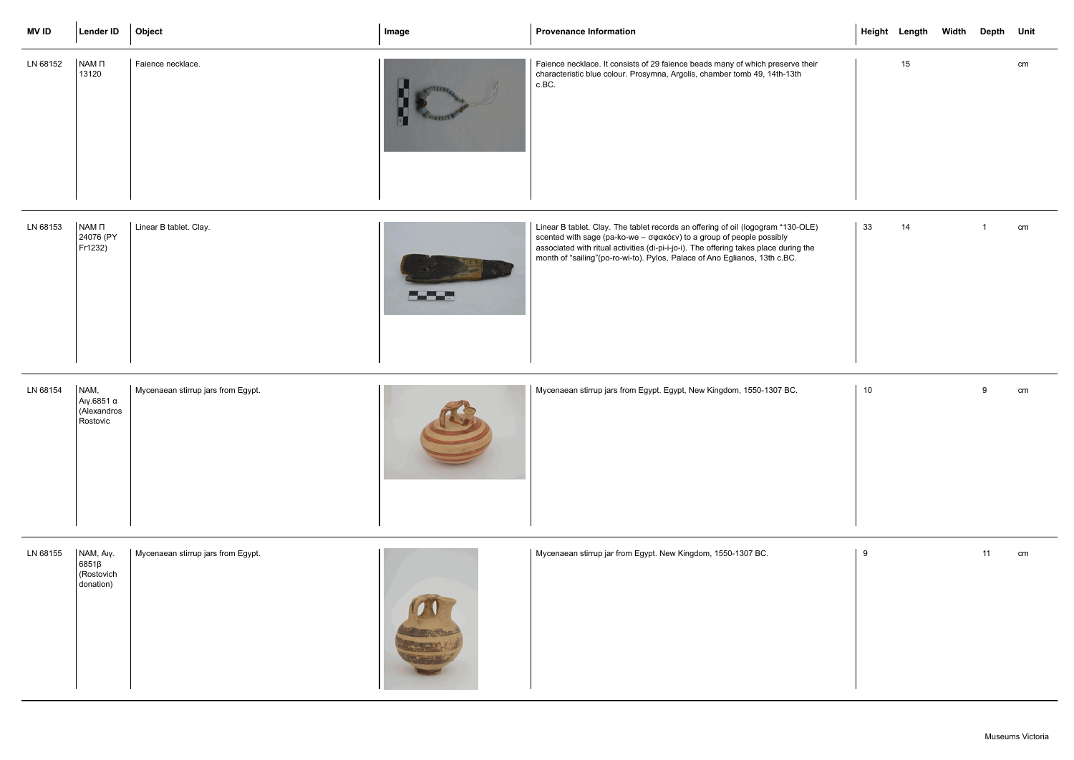| <b>MVID</b> | <b>Lender ID</b>                                    | Object                             | Image    | <b>Provenance Information</b>                                                                                                                                                                                                                                                                                                    |    | Height Length Width | Depth Unit |    |
|-------------|-----------------------------------------------------|------------------------------------|----------|----------------------------------------------------------------------------------------------------------------------------------------------------------------------------------------------------------------------------------------------------------------------------------------------------------------------------------|----|---------------------|------------|----|
| LN 68152    | NAM <sub>D</sub><br>13120                           | Faience necklace.                  |          | Faience necklace. It consists of 29 faience beads many of which preserve their<br>characteristic blue colour. Prosymna, Argolis, chamber tomb 49, 14th-13th<br>c.BC.                                                                                                                                                             |    | 15                  |            | cm |
| LN 68153    | NAM <sub>D</sub><br>24076 (PY<br>Fr1232)            | Linear B tablet. Clay.             | a da San | Linear B tablet. Clay. The tablet records an offering of oil (logogram *130-OLE)<br>scented with sage (pa-ko-we - σφακόεν) to a group of people possibly<br>associated with ritual activities (di-pi-i-jo-i). The offering takes place during the<br>month of "sailing" (po-ro-wi-to). Pylos, Palace of Ano Eglianos, 13th c.BC. | 33 | 14                  |            | cm |
| LN 68154    | NAM,<br>Aιγ.6851 α<br>(Alexandros<br>Rostovic       | Mycenaean stirrup jars from Egypt. |          | Mycenaean stirrup jars from Egypt. Egypt, New Kingdom, 1550-1307 BC.                                                                                                                                                                                                                                                             | 10 |                     | 9          | cm |
| LN 68155    | NAM, Aly.<br>$6851\beta$<br>(Rostovich<br>donation) | Mycenaean stirrup jars from Egypt. |          | Mycenaean stirrup jar from Egypt. New Kingdom, 1550-1307 BC.                                                                                                                                                                                                                                                                     | 9  |                     | 11         | cm |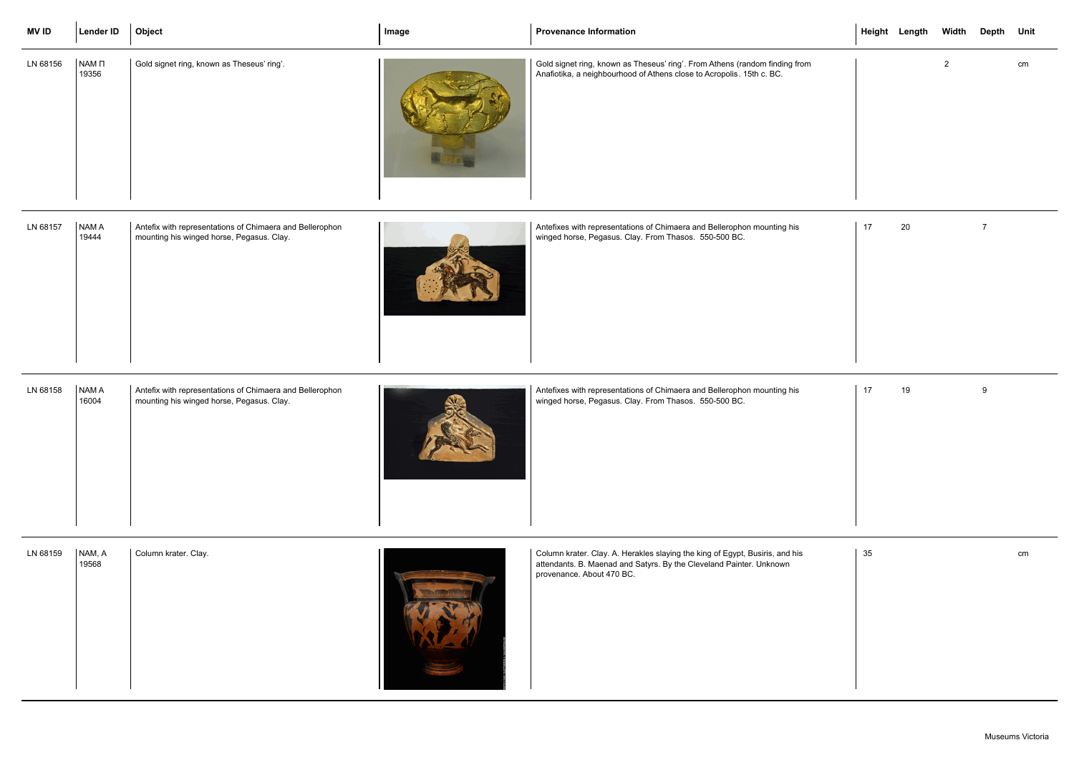| <b>MVID</b> | Lender ID                  | Object                                                                                                | Image | <b>Provenance Information</b>                                                                                                                                                    |    | Height Length | Width | Depth Unit     |    |
|-------------|----------------------------|-------------------------------------------------------------------------------------------------------|-------|----------------------------------------------------------------------------------------------------------------------------------------------------------------------------------|----|---------------|-------|----------------|----|
| LN 68156    | NAM <sub>II</sub><br>19356 | Gold signet ring, known as Theseus' ring'.                                                            |       | Gold signet ring, known as Theseus' ring'. From Athens (random finding from<br>Anafiotika, a neighbourhood of Athens close to Acropolis. 15th c. BC.                             |    |               | 2     |                | cm |
| LN 68157    | <b>NAMA</b><br>19444       | Antefix with representations of Chimaera and Bellerophon<br>mounting his winged horse, Pegasus. Clay. |       | Antefixes with representations of Chimaera and Bellerophon mounting his<br>winged horse, Pegasus. Clay. From Thasos. 550-500 BC.                                                 | 17 | 20            |       | $\overline{7}$ |    |
| LN 68158    | NAM A<br>16004             | Antefix with representations of Chimaera and Bellerophon<br>mounting his winged horse, Pegasus. Clay. |       | Antefixes with representations of Chimaera and Bellerophon mounting his<br>winged horse, Pegasus. Clay. From Thasos. 550-500 BC.                                                 | 17 | 19            |       | 9              |    |
| LN 68159    | NAM, A<br>19568            | Column krater. Clay.                                                                                  |       | Column krater. Clay. A. Herakles slaying the king of Egypt, Busiris, and his<br>attendants. B. Maenad and Satyrs. By the Cleveland Painter. Unknown<br>provenance. About 470 BC. | 35 |               |       |                | cm |

| LN 68159 | NAM, A<br>19568 | Column krater. Clay. |  |  | Column<br>attendan<br>provenar |
|----------|-----------------|----------------------|--|--|--------------------------------|
|----------|-----------------|----------------------|--|--|--------------------------------|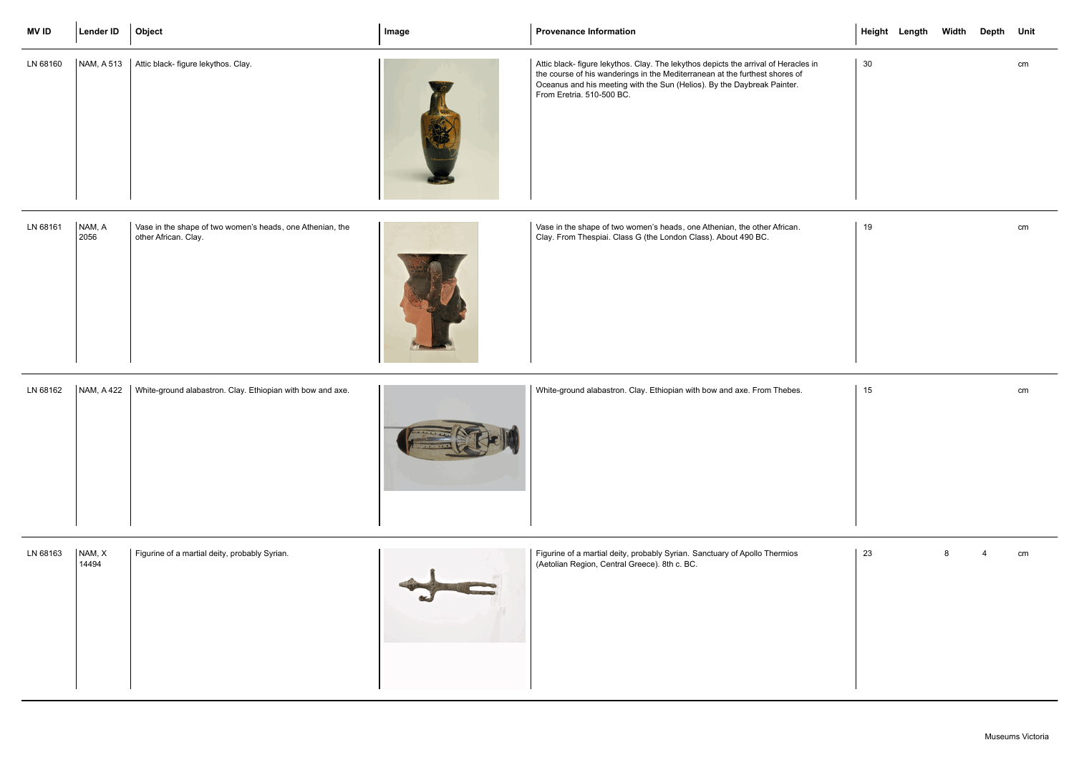| <b>MVID</b> | <b>Lender ID</b>  | Object                                                                            | Image | <b>Provenance Information</b>                                                                                                                                                                                                                                              |    | Height Length Width Depth Unit |   |    |
|-------------|-------------------|-----------------------------------------------------------------------------------|-------|----------------------------------------------------------------------------------------------------------------------------------------------------------------------------------------------------------------------------------------------------------------------------|----|--------------------------------|---|----|
| LN 68160    | NAM, A 513        | Attic black- figure lekythos. Clay.                                               |       | Attic black- figure lekythos. Clay. The lekythos depicts the arrival of Heracles in<br>the course of his wanderings in the Mediterranean at the furthest shores of<br>Oceanus and his meeting with the Sun (Helios). By the Daybreak Painter.<br>From Eretria. 510-500 BC. | 30 |                                |   | cm |
| LN 68161    | NAM, A<br>2056    | Vase in the shape of two women's heads, one Athenian, the<br>other African. Clay. |       | Vase in the shape of two women's heads, one Athenian, the other African.<br>Clay. From Thespiai. Class G (the London Class). About 490 BC.                                                                                                                                 | 19 |                                |   | cm |
| LN 68162    | <b>NAM, A 422</b> | White-ground alabastron. Clay. Ethiopian with bow and axe.                        |       | White-ground alabastron. Clay. Ethiopian with bow and axe. From Thebes.                                                                                                                                                                                                    | 15 |                                |   | cm |
| LN 68163    | NAM, X<br>14494   | Figurine of a martial deity, probably Syrian.                                     |       | Figurine of a martial deity, probably Syrian. Sanctuary of Apollo Thermios<br>(Aetolian Region, Central Greece). 8th c. BC.                                                                                                                                                | 23 |                                | 8 | cm |

| LN 68163 | NAM, X<br>14494 | Figurine of a martial deity, probably Syrian. |  | Figurine of a martial deity, probably Syrian. Sanctuary of Apollo The<br>(Aetolian Region, Central Greece). 8th c. BC. |
|----------|-----------------|-----------------------------------------------|--|------------------------------------------------------------------------------------------------------------------------|
|----------|-----------------|-----------------------------------------------|--|------------------------------------------------------------------------------------------------------------------------|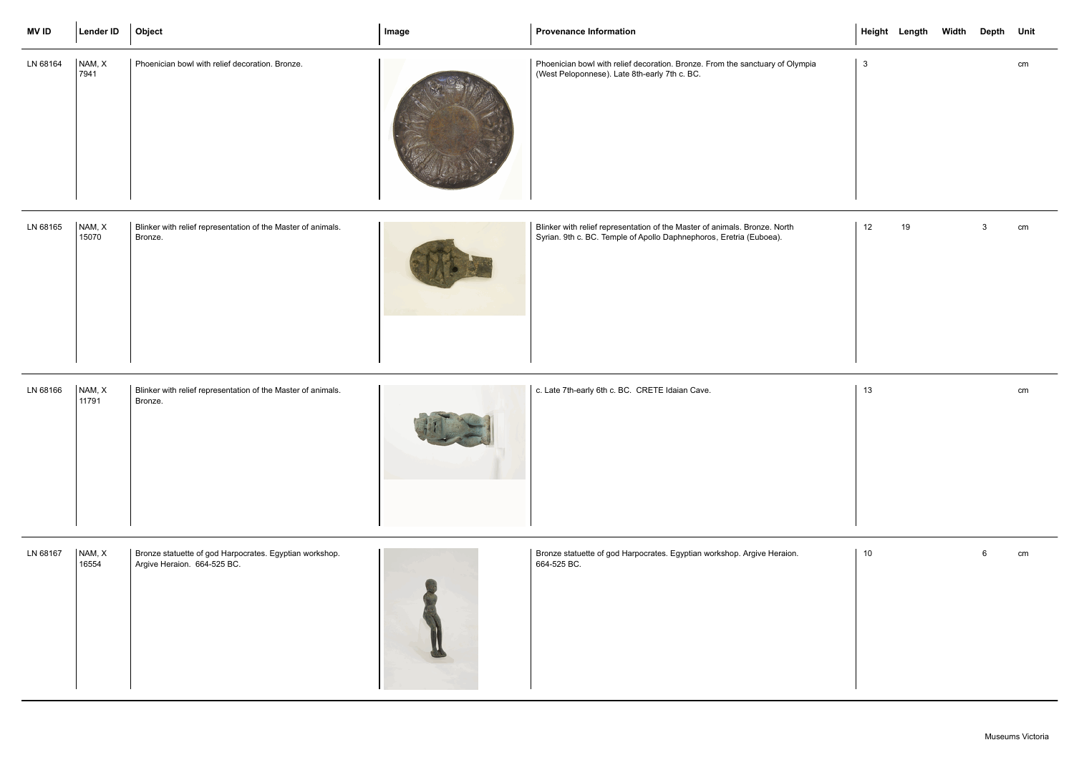| <b>MV ID</b> | Lender ID       | Object                                                                  | Image | <b>Provenance Information</b>                                                                                                                     |              | Height Length | Width | Depth Unit |    |
|--------------|-----------------|-------------------------------------------------------------------------|-------|---------------------------------------------------------------------------------------------------------------------------------------------------|--------------|---------------|-------|------------|----|
| LN 68164     | NAM, X<br>7941  | Phoenician bowl with relief decoration. Bronze.                         |       | Phoenician bowl with relief decoration. Bronze. From the sanctuary of Olympia<br>(West Peloponnese). Late 8th-early 7th c. BC.                    | $\mathbf{3}$ |               |       |            | cm |
| LN 68165     | NAM, X<br>15070 | Blinker with relief representation of the Master of animals.<br>Bronze. |       | Blinker with relief representation of the Master of animals. Bronze. North<br>Syrian. 9th c. BC. Temple of Apollo Daphnephoros, Eretria (Euboea). | 12           | 19            |       |            | cm |

|    |    | Height Length Width Depth Unit |                  |               |
|----|----|--------------------------------|------------------|---------------|
| ia | 3  |                                |                  | cm            |
|    |    |                                |                  |               |
|    | 12 | $19$                           | 3 <sup>7</sup>   | cm            |
|    | 13 |                                |                  | $\mathsf{cm}$ |
|    | 10 |                                | $\boldsymbol{6}$ | cm            |

| LN 68166 | NAM, X<br>11791 | Blinker with relief representation of the Master of animals.<br>Bronze. | c. Late 7th-early 6th c. BC. CRETE Idaian Cave. | 13<br>cm |
|----------|-----------------|-------------------------------------------------------------------------|-------------------------------------------------|----------|
|          |                 |                                                                         |                                                 |          |

| LN 68167 | NAM, X<br>16554 | Bronze statuette of god Harpocrates. Egyptian workshop.<br>Argive Heraion. 664-525 BC. | Bronze statuette of god Harpocrates. Egyptian workshop. Argive Heraion.<br>664-525 BC. |
|----------|-----------------|----------------------------------------------------------------------------------------|----------------------------------------------------------------------------------------|
|          |                 |                                                                                        |                                                                                        |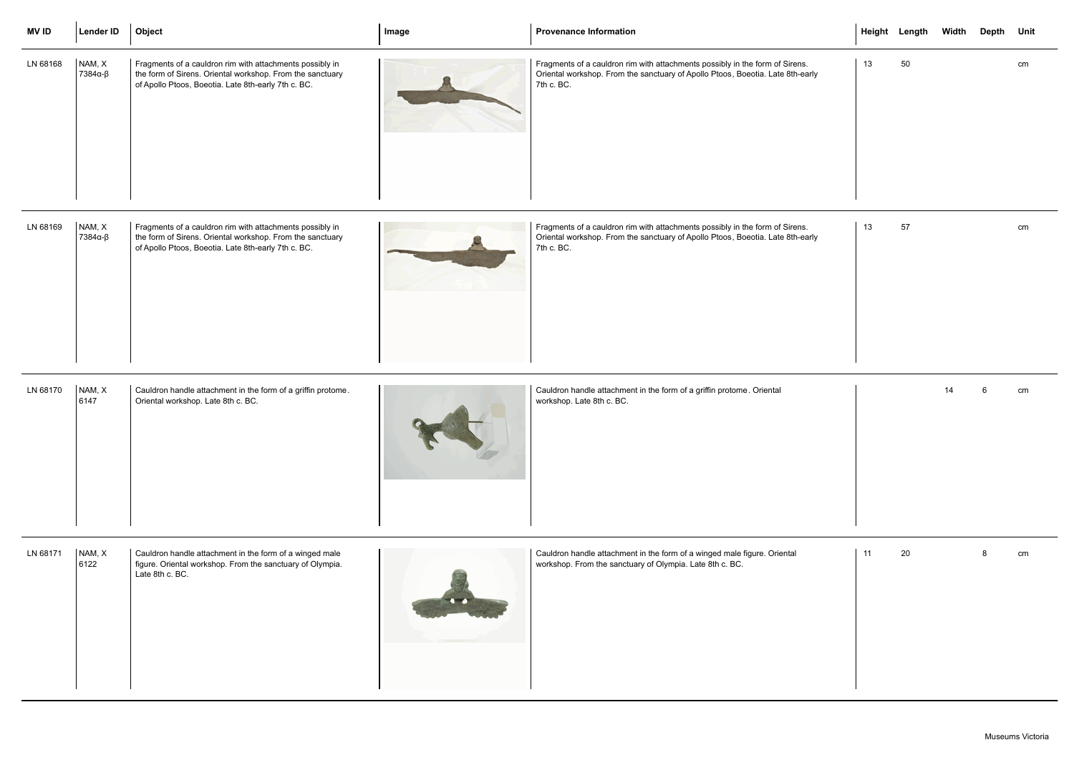| <b>MVID</b> | Lender ID         | Object                                                                                                                                                                       | Image | <b>Provenance Information</b>                                                                                                                                                |    | Height Length Width Depth Unit |    |   |    |
|-------------|-------------------|------------------------------------------------------------------------------------------------------------------------------------------------------------------------------|-------|------------------------------------------------------------------------------------------------------------------------------------------------------------------------------|----|--------------------------------|----|---|----|
| LN 68168    | NAM, X<br>7384α-β | Fragments of a cauldron rim with attachments possibly in<br>the form of Sirens. Oriental workshop. From the sanctuary<br>of Apollo Ptoos, Boeotia. Late 8th-early 7th c. BC. |       | Fragments of a cauldron rim with attachments possibly in the form of Sirens.<br>Oriental workshop. From the sanctuary of Apollo Ptoos, Boeotia. Late 8th-early<br>7th c. BC. | 13 | 50                             |    |   | cm |
| LN 68169    | NAM, X<br>7384α-β | Fragments of a cauldron rim with attachments possibly in<br>the form of Sirens. Oriental workshop. From the sanctuary<br>of Apollo Ptoos, Boeotia. Late 8th-early 7th c. BC. |       | Fragments of a cauldron rim with attachments possibly in the form of Sirens.<br>Oriental workshop. From the sanctuary of Apollo Ptoos, Boeotia. Late 8th-early<br>7th c. BC. | 13 | 57                             |    |   | cm |
| LN 68170    | NAM, X<br>6147    | Cauldron handle attachment in the form of a griffin protome.<br>Oriental workshop. Late 8th c. BC.                                                                           |       | Cauldron handle attachment in the form of a griffin protome. Oriental<br>workshop. Late 8th c. BC.                                                                           |    |                                | 14 | 6 | cm |
| LN 68171    | NAM, X<br>6122    | Cauldron handle attachment in the form of a winged male<br>figure. Oriental workshop. From the sanctuary of Olympia.<br>Late 8th c. BC.                                      |       | Cauldron handle attachment in the form of a winged male figure. Oriental<br>workshop. From the sanctuary of Olympia. Late 8th c. BC.                                         | 11 | 20                             |    |   | cm |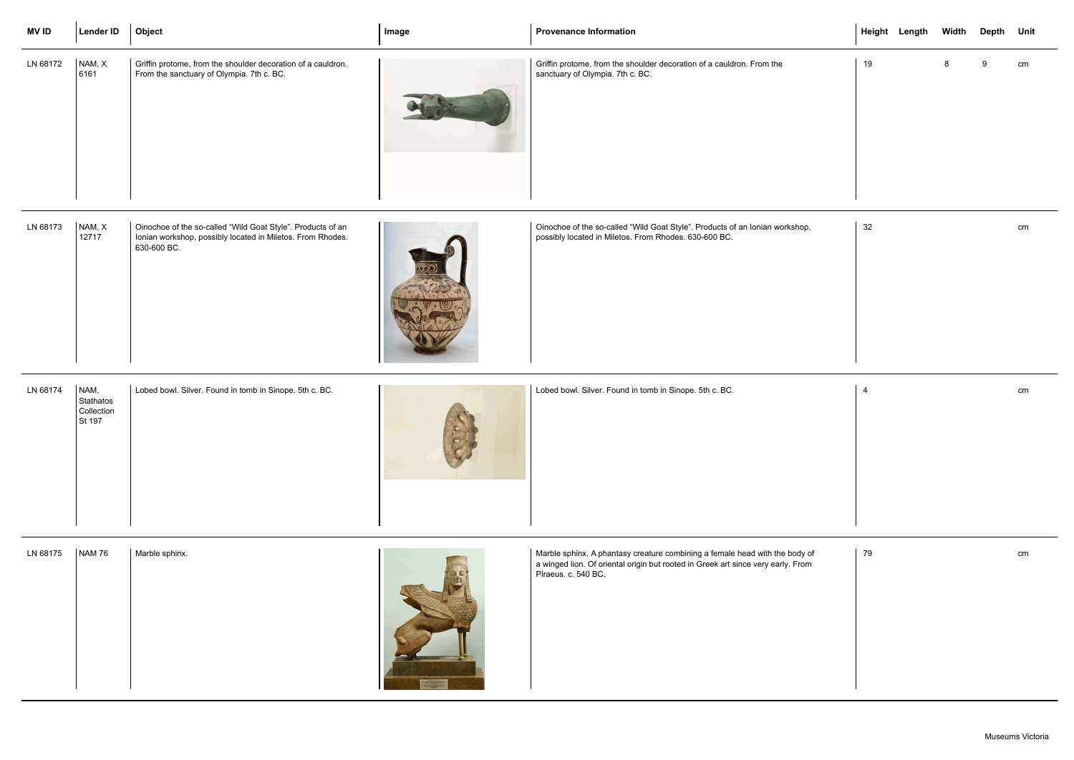| <b>MVID</b> | <b>Lender ID</b>                          | Object                                                                                                                                   | Image | <b>Provenance Information</b>                                                                                                                                                          |    | Height Length Width Depth Unit |   |    |    |
|-------------|-------------------------------------------|------------------------------------------------------------------------------------------------------------------------------------------|-------|----------------------------------------------------------------------------------------------------------------------------------------------------------------------------------------|----|--------------------------------|---|----|----|
| LN 68172    | NAM, X<br>6161                            | Griffin protome, from the shoulder decoration of a cauldron.<br>From the sanctuary of Olympia. 7th c. BC.                                |       | Griffin protome, from the shoulder decoration of a cauldron. From the<br>sanctuary of Olympia. 7th c. BC.                                                                              | 19 |                                | 8 | -9 | cm |
| LN 68173    | NAM, X<br>12717                           | Oinochoe of the so-called "Wild Goat Style". Products of an<br>Ionian workshop, possibly located in Miletos. From Rhodes.<br>630-600 BC. |       | Oinochoe of the so-called "Wild Goat Style". Products of an Ionian workshop,<br>possibly located in Miletos. From Rhodes. 630-600 BC.                                                  | 32 |                                |   |    | cm |
| LN 68174    | NAM,<br>Stathatos<br>Collection<br>St 197 | Lobed bowl. Silver. Found in tomb in Sinope. 5th c. BC.                                                                                  |       | Lobed bowl. Silver. Found in tomb in Sinope. 5th c. BC.                                                                                                                                | 4  |                                |   |    | cm |
| LN 68175    | <b>NAM 76</b>                             | Marble sphinx.                                                                                                                           |       | Marble sphinx. A phantasy creature combining a female head with the body of<br>a winged lion. Of oriental origin but rooted in Greek art since very early. From<br>Piraeus. c. 540 BC. | 79 |                                |   |    | cm |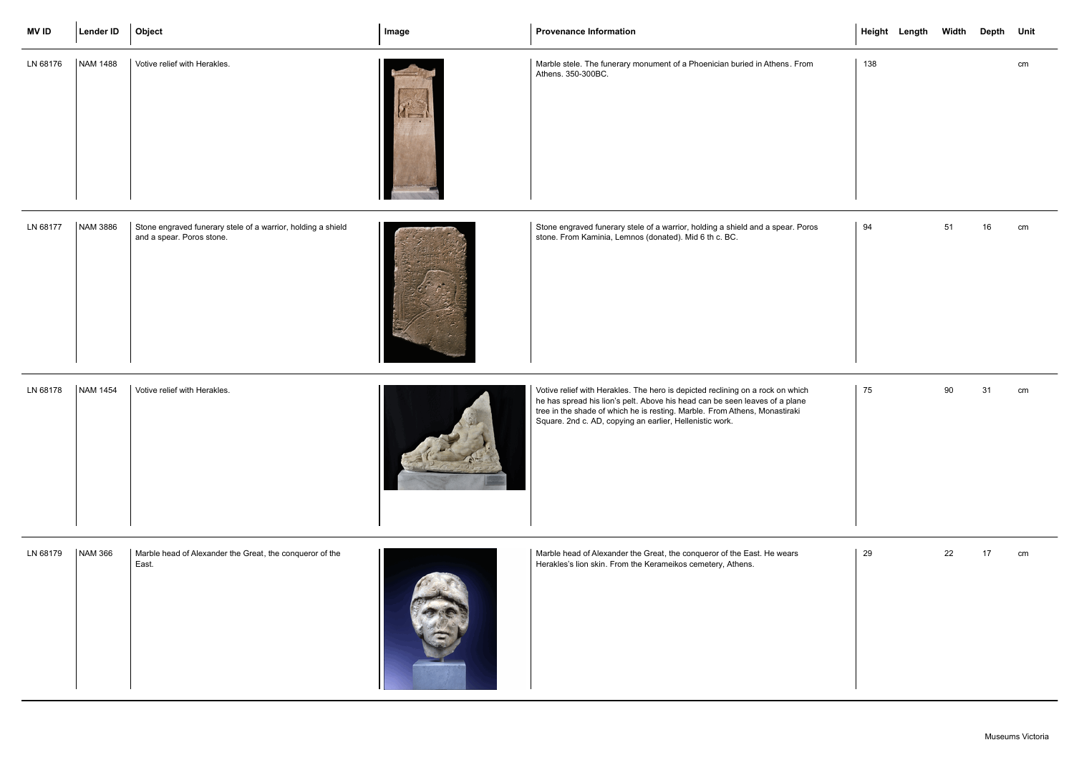| <b>MV ID</b> | Lender ID      | Object                                                                                    | Image | <b>Provenance Information</b>                                                                                                                                                                                                                                                                           | Height Length Width Depth Unit |    |    |    |
|--------------|----------------|-------------------------------------------------------------------------------------------|-------|---------------------------------------------------------------------------------------------------------------------------------------------------------------------------------------------------------------------------------------------------------------------------------------------------------|--------------------------------|----|----|----|
| LN 68176     | NAM 1488       | Votive relief with Herakles.                                                              |       | Marble stele. The funerary monument of a Phoenician buried in Athens. From<br>Athens. 350-300BC.                                                                                                                                                                                                        | 138                            |    |    | cm |
| LN 68177     | NAM 3886       | Stone engraved funerary stele of a warrior, holding a shield<br>and a spear. Poros stone. |       | Stone engraved funerary stele of a warrior, holding a shield and a spear. Poros<br>stone. From Kaminia, Lemnos (donated). Mid 6 th c. BC.                                                                                                                                                               | 94                             | 51 | 16 | cm |
| LN 68178     | NAM 1454       | Votive relief with Herakles.                                                              |       | Votive relief with Herakles. The hero is depicted reclining on a rock on which<br>he has spread his lion's pelt. Above his head can be seen leaves of a plane<br>tree in the shade of which he is resting. Marble. From Athens, Monastiraki<br>Square. 2nd c. AD, copying an earlier, Hellenistic work. | 75                             | 90 | 31 | cm |
| LN 68179     | <b>NAM 366</b> | Marble head of Alexander the Great, the conqueror of the<br>East.                         |       | Marble head of Alexander the Great, the conqueror of the East. He wears<br>Herakles's lion skin. From the Kerameikos cemetery, Athens.                                                                                                                                                                  | 29                             | 22 | 17 | cm |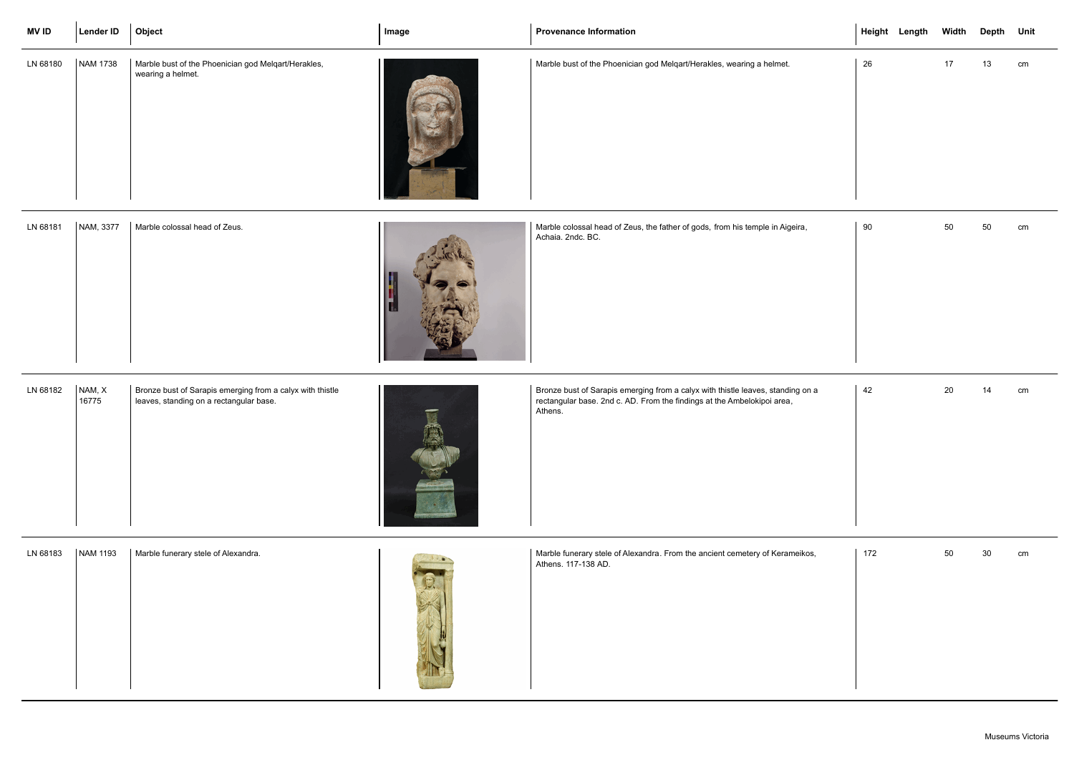| <b>MV ID</b> | Lender ID | Object                                                                   | Image | <b>Provenance Information</b>                                                                      |        | Height Length |    | Width Depth Unit |    |
|--------------|-----------|--------------------------------------------------------------------------|-------|----------------------------------------------------------------------------------------------------|--------|---------------|----|------------------|----|
| LN 68180     | NAM 1738  | Marble bust of the Phoenician god Melqart/Herakles,<br>wearing a helmet. |       | Marble bust of the Phoenician god Melqart/Herakles, wearing a helmet.                              | 26     |               | 17 | 13               | cm |
| LN 68181     | NAM, 3377 | Marble colossal head of Zeus.                                            |       | Marble colossal head of Zeus, the father of gods, from his temple in Aigeira,<br>Achaia. 2ndc. BC. | $90\,$ |               | 50 | 50               | cm |

| LN 68182 | NAM, X<br>16775 | Bronze bust of Sarapis emerging from a calyx with thistle<br>leaves, standing on a rectangular base. |  |
|----------|-----------------|------------------------------------------------------------------------------------------------------|--|
|----------|-----------------|------------------------------------------------------------------------------------------------------|--|

Bronze bust of Sarapis emerging from a calyx with thistle leaves, standing on a rectangular base. 2nd c. AD. From the findings at the Ambelokipoi area, Athens.

|    |     | Height Length Width Depth Unit |        |        |               |
|----|-----|--------------------------------|--------|--------|---------------|
|    | 26  |                                | 17     | 13     | $\mathsf{cm}$ |
|    | 90  |                                | 50 000 | $50\,$ | cm            |
| a  | 42  |                                | 20     | 14     | $\mathsf{cm}$ |
| s, | 172 |                                | 50     | $30\,$ | cm            |

| LN 68183 | <b>NAM 1193</b> | Marble funerary stele of Alexandra. |  | リマッ | Marble funerary stele of Alexandra. From the ancient cemetery of Kerameikos,<br>Athens. 117-138 AD. |
|----------|-----------------|-------------------------------------|--|-----|-----------------------------------------------------------------------------------------------------|
|----------|-----------------|-------------------------------------|--|-----|-----------------------------------------------------------------------------------------------------|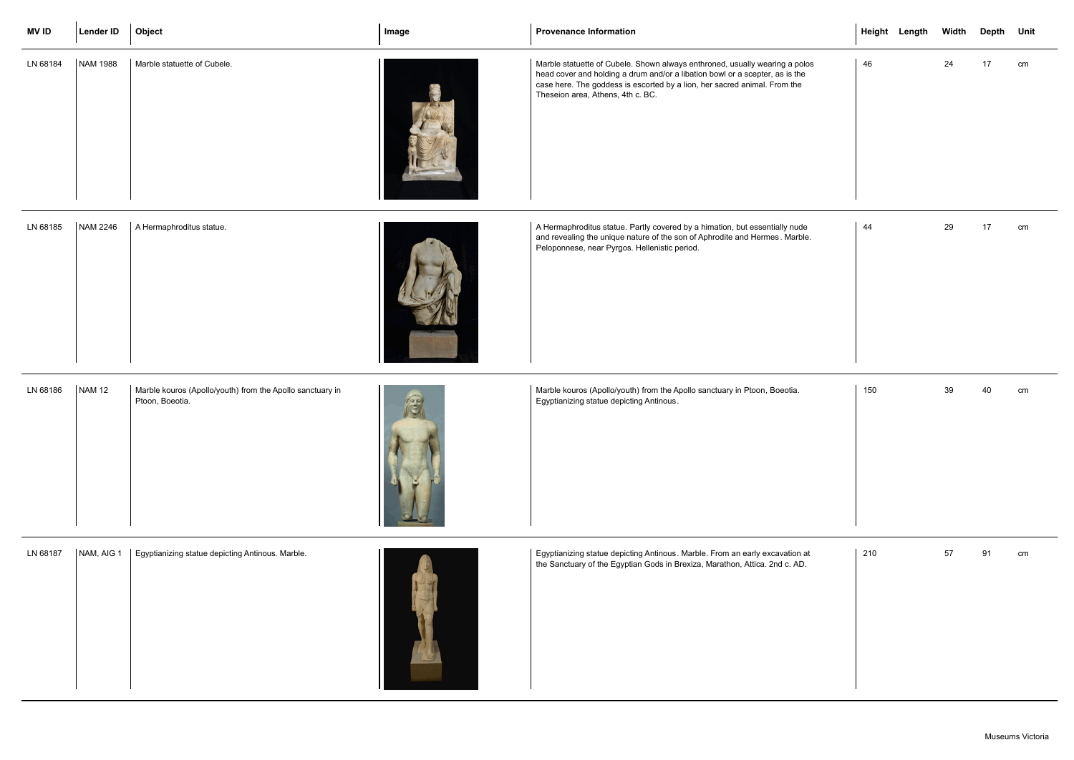| <b>MV ID</b> | <b>Lender ID</b> | Object                                                                       | Image | <b>Provenance Information</b>                                                                                                                                                                                                                                                 |     | Height Length Width Depth Unit |    |    |    |
|--------------|------------------|------------------------------------------------------------------------------|-------|-------------------------------------------------------------------------------------------------------------------------------------------------------------------------------------------------------------------------------------------------------------------------------|-----|--------------------------------|----|----|----|
| LN 68184     | NAM 1988         | Marble statuette of Cubele.                                                  |       | Marble statuette of Cubele. Shown always enthroned, usually wearing a polos<br>head cover and holding a drum and/or a libation bowl or a scepter, as is the<br>case here. The goddess is escorted by a lion, her sacred animal. From the<br>Theseion area, Athens, 4th c. BC. | 46  |                                | 24 | 17 | cm |
| LN 68185     | <b>NAM 2246</b>  | A Hermaphroditus statue.                                                     |       | A Hermaphroditus statue. Partly covered by a himation, but essentially nude<br>and revealing the unique nature of the son of Aphrodite and Hermes. Marble.<br>Peloponnese, near Pyrgos. Hellenistic period.                                                                   | 44  |                                | 29 | 17 | cm |
| LN 68186     | <b>NAM 12</b>    | Marble kouros (Apollo/youth) from the Apollo sanctuary in<br>Ptoon, Boeotia. | 图     | Marble kouros (Apollo/youth) from the Apollo sanctuary in Ptoon, Boeotia.<br>Egyptianizing statue depicting Antinous.                                                                                                                                                         | 150 |                                | 39 | 40 | cm |
| LN 68187     | NAM, AIG 1       | Egyptianizing statue depicting Antinous. Marble.                             |       | Egyptianizing statue depicting Antinous. Marble. From an early excavation at<br>the Sanctuary of the Egyptian Gods in Brexiza, Marathon, Attica. 2nd c. AD.                                                                                                                   | 210 |                                | 57 | 91 | cm |